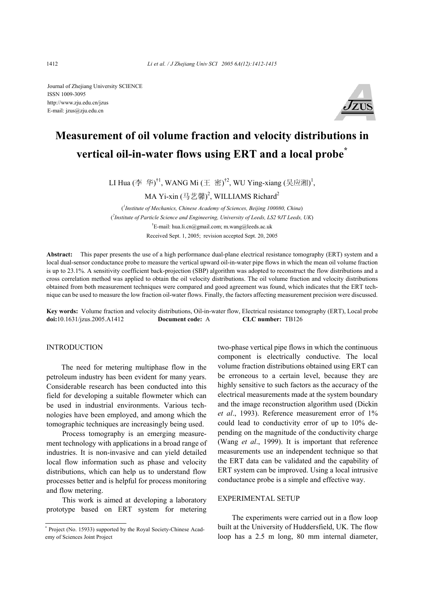Journal of Zhejiang University SCIENCE ISSN 1009-3095 http://www.zju.edu.cn/jzus E-mail: jzus@zju.edu.cn



# **Measurement of oil volume fraction and velocity distributions in vertical oil-in-water flows using ERT and a local probe\***

LI Hua (李 华)<sup>†1</sup>, WANG Mi (王 密)<sup>†2</sup>, WU Ying-xiang (吴应湘)<sup>1</sup>,

MA Yi-xin (马艺馨)<sup>2</sup>, WILLIAMS Richard<sup>2</sup>

( *1 Institute of Mechanics, Chinese Academy of Sciences, Beijing 100080, China*) ( *2 Institute of Particle Science and Engineering, University of Leeds, LS2 9JT Leeds, UK*) † E-mail: hua.li.cn@gmail.com; m.wang@leeds.ac.uk Received Sept. 1, 2005; revision accepted Sept. 20, 2005

**Abstract:** This paper presents the use of a high performance dual-plane electrical resistance tomography (ERT) system and a local dual-sensor conductance probe to measure the vertical upward oil-in-water pipe flows in which the mean oil volume fraction is up to 23.1%. A sensitivity coefficient back-projection (SBP) algorithm was adopted to reconstruct the flow distributions and a cross correlation method was applied to obtain the oil velocity distributions. The oil volume fraction and velocity distributions obtained from both measurement techniques were compared and good agreement was found, which indicates that the ERT technique can be used to measure the low fraction oil-water flows. Finally, the factors affecting measurement precision were discussed.

**Key words:** Volume fraction and velocity distributions, Oil-in-water flow, Electrical resistance tomography (ERT), Local probe **doi:**10.1631/jzus.2005.A1412 **Document code:** A **CLC number:** TB126

# **INTRODUCTION**

The need for metering multiphase flow in the petroleum industry has been evident for many years. Considerable research has been conducted into this field for developing a suitable flowmeter which can be used in industrial environments. Various technologies have been employed, and among which the tomographic techniques are increasingly being used.

Process tomography is an emerging measurement technology with applications in a broad range of industries. It is non-invasive and can yield detailed local flow information such as phase and velocity distributions, which can help us to understand flow processes better and is helpful for process monitoring and flow metering.

This work is aimed at developing a laboratory prototype based on ERT system for metering two-phase vertical pipe flows in which the continuous component is electrically conductive. The local volume fraction distributions obtained using ERT can be erroneous to a certain level, because they are highly sensitive to such factors as the accuracy of the electrical measurements made at the system boundary and the image reconstruction algorithm used (Dickin *et al*., 1993). Reference measurement error of 1% could lead to conductivity error of up to 10% depending on the magnitude of the conductivity charge (Wang *et al*., 1999). It is important that reference measurements use an independent technique so that the ERT data can be validated and the capability of ERT system can be improved. Using a local intrusive conductance probe is a simple and effective way.

# EXPERIMENTAL SETUP

The experiments were carried out in a flow loop built at the University of Huddersfield, UK. The flow loop has a 2.5 m long, 80 mm internal diameter,

<sup>\*</sup> Project (No. 15933) supported by the Royal Society-Chinese Academy of Sciences Joint Project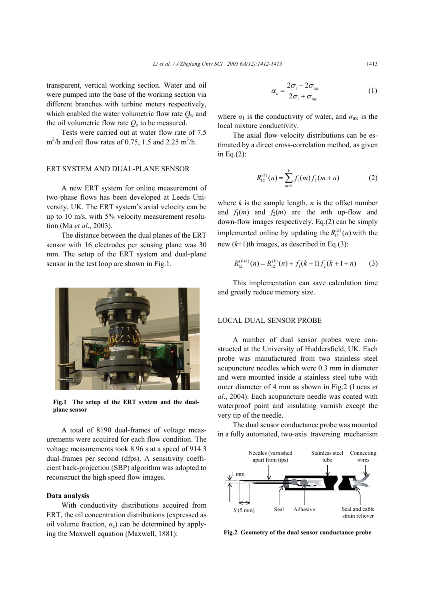transparent, vertical working section. Water and oil were pumped into the base of the working section via different branches with turbine meters respectively, which enabled the water volumetric flow rate  $Q_w$  and the oil volumetric flow rate  $Q_0$  to be measured.

Tests were carried out at water flow rate of 7.5  $\text{m}^3/\text{h}$  and oil flow rates of 0.75, 1.5 and 2.25 m<sup>3</sup>/h.

## ERT SYSTEM AND DUAL-PLANE SENSOR

A new ERT system for online measurement of two-phase flows has been developed at Leeds University, UK. The ERT system's axial velocity can be up to 10 m/s, with 5% velocity measurement resolution (Ma *et al*., 2003).

The distance between the dual planes of the ERT sensor with 16 electrodes per sensing plane was 30 mm. The setup of the ERT system and dual-plane sensor in the test loop are shown in Fig.1.



**Fig.1 The setup of the ERT system and the dualplane sensor** 

A total of 8190 dual-frames of voltage measurements were acquired for each flow condition. The voltage measurements took 8.96 s at a speed of 914.3 dual-frames per second (dfps). A sensitivity coefficient back-projection (SBP) algorithm was adopted to reconstruct the high speed flow images.

## **Data analysis**

With conductivity distributions acquired from ERT, the oil concentration distributions (expressed as oil volume fraction,  $\alpha_c$ ) can be determined by applying the Maxwell equation (Maxwell, 1881):

$$
\alpha_{\rm c} = \frac{2\sigma_{\rm i} - 2\sigma_{\rm mc}}{2\sigma_{\rm i} + \sigma_{\rm mc}}\tag{1}
$$

where  $\sigma_1$  is the conductivity of water, and  $\sigma_{\text{mc}}$  is the local mixture conductivity.

The axial flow velocity distributions can be estimated by a direct cross-correlation method, as given in Eq.(2):

$$
R_{12}^{(k)}(n) = \sum_{m=1}^{k} f_1(m) f_2(m+n)
$$
 (2)

where  $k$  is the sample length,  $n$  is the offset number and  $f_1(m)$  and  $f_2(m)$  are the *m*th up-flow and down-flow images respectively. Eq.(2) can be simply implemented online by updating the  $R_{12}^{(k)}(n)$  with the new  $(k+1)$ th images, as described in Eq.(3):

$$
R_{12}^{(k+1)}(n) = R_{12}^{(k)}(n) + f_1(k+1)f_2(k+1+n)
$$
 (3)

This implementation can save calculation time and greatly reduce memory size.

### LOCAL DUAL SENSOR PROBE

A number of dual sensor probes were constructed at the University of Huddersfield, UK. Each probe was manufactured from two stainless steel acupuncture needles which were 0.3 mm in diameter and were mounted inside a stainless steel tube with outer diameter of 4 mm as shown in Fig.2 (Lucas *et al*., 2004). Each acupuncture needle was coated with waterproof paint and insulating varnish except the very tip of the needle.

The dual sensor conductance probe was mounted in a fully automated, two-axis traversing mechanism



**Fig.2 Geometry of the dual sensor conductance probe**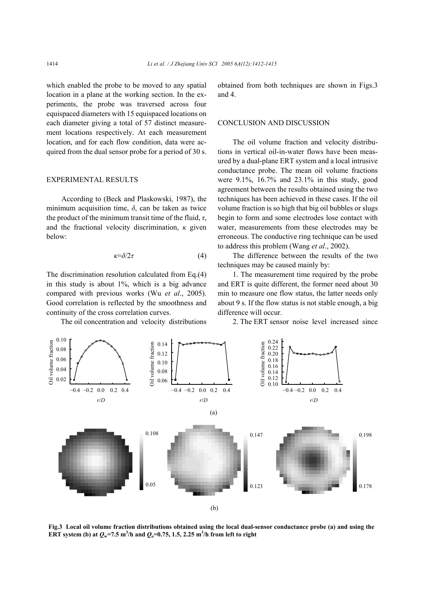which enabled the probe to be moved to any spatial location in a plane at the working section. In the experiments, the probe was traversed across four equispaced diameters with 15 equispaced locations on each diameter giving a total of 57 distinct measurement locations respectively. At each measurement location, and for each flow condition, data were acquired from the dual sensor probe for a period of 30 s.

#### EXPERIMENTAL RESULTS

According to (Beck and Plaskowski, 1987), the minimum acquisition time,  $\delta$ , can be taken as twice the product of the minimum transit time of the fluid, *τ*, and the fractional velocity discrimination, *κ* given below:

$$
\kappa = \delta/2\tau \tag{4}
$$

The discrimination resolution calculated from Eq.(4) in this study is about 1%, which is a big advance compared with previous works (Wu *et al*., 2005). Good correlation is reflected by the smoothness and continuity of the cross correlation curves.

The oil concentration and velocity distributions

obtained from both techniques are shown in Figs.3 and 4.

## CONCLUSION AND DISCUSSION

The oil volume fraction and velocity distributions in vertical oil-in-water flows have been measured by a dual-plane ERT system and a local intrusive conductance probe. The mean oil volume fractions were 9.1%, 16.7% and 23.1% in this study, good agreement between the results obtained using the two techniques has been achieved in these cases. If the oil volume fraction is so high that big oil bubbles or slugs begin to form and some electrodes lose contact with water, measurements from these electrodes may be erroneous. The conductive ring technique can be used to address this problem (Wang *et al*., 2002).

The difference between the results of the two techniques may be caused mainly by:

1. The measurement time required by the probe and ERT is quite different, the former need about 30 min to measure one flow status, the latter needs only about 9 s. If the flow status is not stable enough, a big difference will occur.

2. The ERT sensor noise level increased since



**Fig.3 Local oil volume fraction distributions obtained using the local dual-sensor conductance probe (a) and using the ERT** system (b) at  $Q_w$ =7.5 m<sup>3</sup>/h and  $Q_o$ =0.75, 1.5, 2.25 m<sup>3</sup>/h from left to right